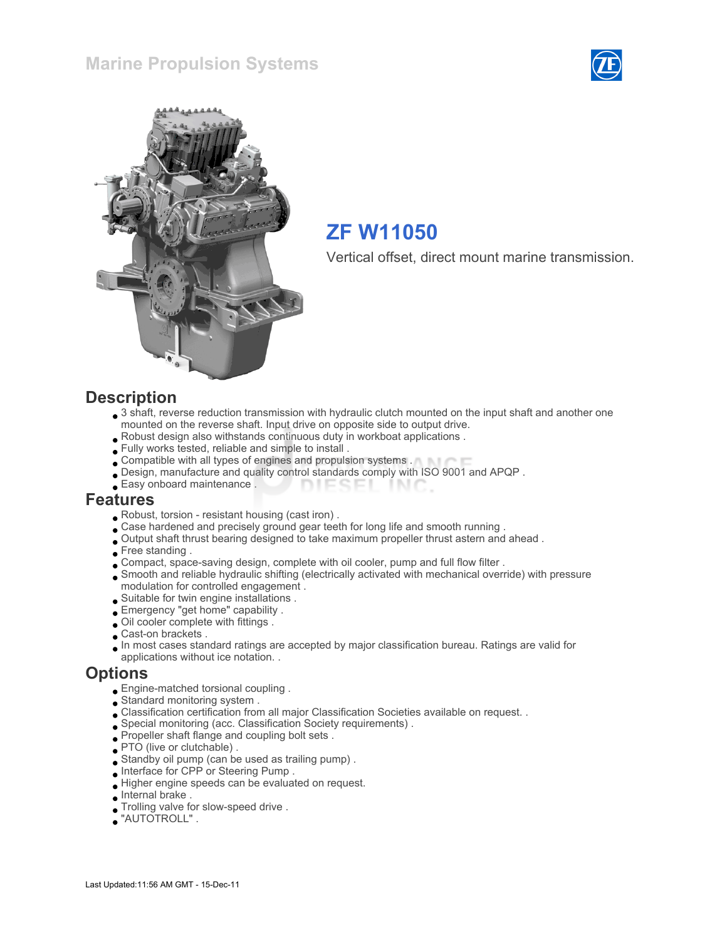



# ZF W11050

Vertical offset, direct mount marine transmission.

#### **Description**

- 3 shaft, reverse reduction transmission with hydraulic clutch mounted on the input shaft and another one mounted on the reverse shaft. Input drive on opposite side to output drive.
- Robust design also withstands continuous duty in workboat applications .
- Fully works tested, reliable and simple to install .
- Compatible with all types of engines and propulsion systems .
- Design, manufacture and quality control standards comply with ISO 9001 and APQP .
- Easy onboard maintenance . **DIESEI** INIC

#### Features

- Robust, torsion resistant housing (cast iron) .
- . Case hardened and precisely ground gear teeth for long life and smooth running .
- Output shaft thrust bearing designed to take maximum propeller thrust astern and ahead .
- Free standing .
- Compact, space-saving design, complete with oil cooler, pump and full flow filter .
- Smooth and reliable hydraulic shifting (electrically activated with mechanical override) with pressure modulation for controlled engagement .
- Suitable for twin engine installations .
- Emergency "get home" capability .
- Oil cooler complete with fittings .
- Cast-on brackets .
- In most cases standard ratings are accepted by major classification bureau. Ratings are valid for applications without ice notation. .

#### **Options**

- Engine-matched torsional coupling .
- Standard monitoring system .
- Classification certification from all major Classification Societies available on request. .
- Special monitoring (acc. Classification Society requirements) .
- Propeller shaft flange and coupling bolt sets .
- PTO (live or clutchable).
- Standby oil pump (can be used as trailing pump) .
- Interface for CPP or Steering Pump .
- Higher engine speeds can be evaluated on request.
- Internal brake .
- Trolling valve for slow-speed drive .
- "AUTOTROLL" .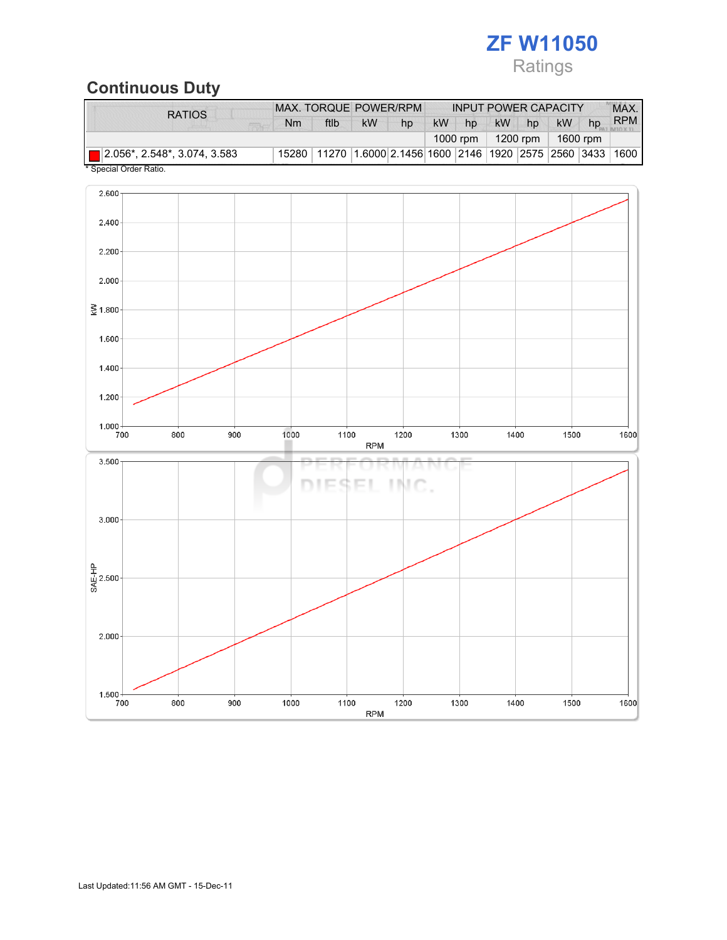# ZF W11050 Ratings

# Continuous Duty

| <b>RATIOS</b>                       |           | MAX. TORQUE POWER/RPM                                        |           |    | <b>INPUT POWER CAPACITY</b> |    |           |    |           | MAX. |            |
|-------------------------------------|-----------|--------------------------------------------------------------|-----------|----|-----------------------------|----|-----------|----|-----------|------|------------|
|                                     | <b>Nm</b> | ftlb                                                         | <b>kW</b> | hp | kW                          | hp | <b>kW</b> | hp | <b>kW</b> | hp   | <b>RPM</b> |
|                                     |           |                                                              |           |    |                             |    | 1200 rpm  |    | 1600 rpm  |      |            |
| $\Box$ 2.056*, 2.548*, 3.074, 3.583 |           | 15280 11270 1.6000 2.1456 1600 2146 1920 2575 2560 3433 1600 |           |    |                             |    |           |    |           |      |            |

Special Order Ratio.

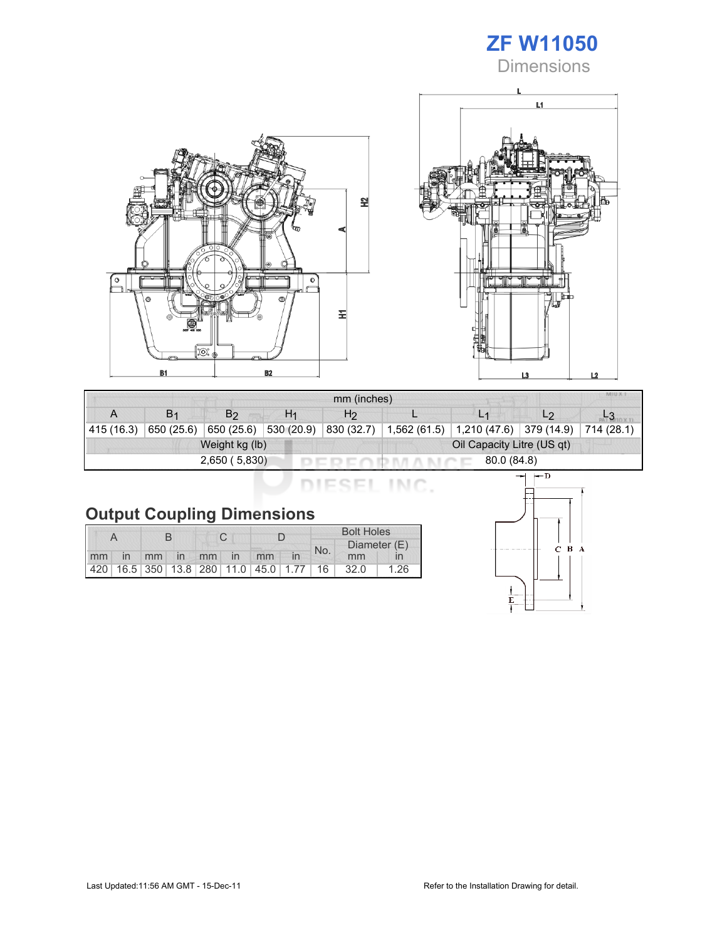# ZF W11050

**Dimensions** 





| mm (inches) |                |                |                |                            |              |             |                |            |  |
|-------------|----------------|----------------|----------------|----------------------------|--------------|-------------|----------------|------------|--|
| А           | B <sub>1</sub> | B2             | H <sub>1</sub> | H2                         |              |             | L <sub>2</sub> |            |  |
| 415(16.3)   | 650 (25.6)     | 650 (25.6)     | 530 (20.9)     | 830 (32.7)                 | 1,562 (61.5) | 1,210(47.6) | 379 (14.9)     | 714 (28.1) |  |
|             |                | Weight kg (lb) |                | Oil Capacity Litre (US qt) |              |             |                |            |  |
|             |                | 2,650(5,830)   |                | 80.0 (84.8)                |              |             |                |            |  |

DIESEL INC.

|    |    |             |  |                                                         | <b>Bolt Holes</b> |     |              |      |
|----|----|-------------|--|---------------------------------------------------------|-------------------|-----|--------------|------|
|    |    |             |  |                                                         |                   | No. | Diameter (E) |      |
| mm | in | mm in mm in |  |                                                         | mm                |     | mm           |      |
|    |    |             |  | 420   16.5   350   13.8   280   11.0   45.0   1.77   16 |                   |     | 32.0         | 1.26 |